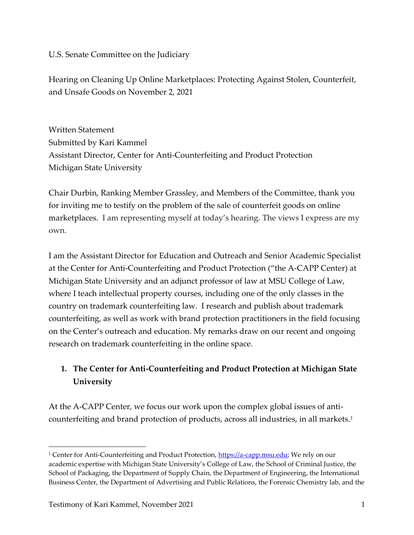U.S. Senate Committee on the Judiciary

Hearing on Cleaning Up Online Marketplaces: Protecting Against Stolen, Counterfeit, and Unsafe Goods on November 2, 2021

Written Statement Submitted by Kari Kammel Assistant Director, Center for Anti-Counterfeiting and Product Protection Michigan State University

Chair Durbin, Ranking Member Grassley, and Members of the Committee, thank you for inviting me to testify on the problem of the sale of counterfeit goods on online marketplaces. I am representing myself at today's hearing. The views I express are my own.

I am the Assistant Director for Education and Outreach and Senior Academic Specialist at the Center for Anti-Counterfeiting and Product Protection ("the A-CAPP Center) at Michigan State University and an adjunct professor of law at MSU College of Law, where I teach intellectual property courses, including one of the only classes in the country on trademark counterfeiting law. I research and publish about trademark counterfeiting, as well as work with brand protection practitioners in the field focusing on the Center's outreach and education. My remarks draw on our recent and ongoing research on trademark counterfeiting in the online space.

# **1. The Center for Anti-Counterfeiting and Product Protection at Michigan State University**

At the A-CAPP Center, we focus our work upon the complex global issues of anticounterfeiting and brand protection of products, across all industries, in all markets.<sup>1</sup>

<sup>&</sup>lt;sup>1</sup> Center for Anti-Counterfeiting and Product Protection, [https://a-capp.msu.edu;](https://a-capp.msu.edu/) We rely on our academic expertise with Michigan State University's College of Law, the School of Criminal Justice, the School of Packaging, the Department of Supply Chain, the Department of Engineering, the International Business Center, the Department of Advertising and Public Relations, the Forensic Chemistry lab, and the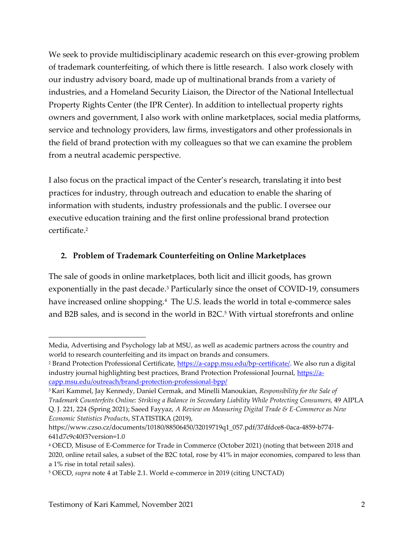We seek to provide multidisciplinary academic research on this ever-growing problem of trademark counterfeiting, of which there is little research. I also work closely with our industry advisory board, made up of multinational brands from a variety of industries, and a Homeland Security Liaison, the Director of the National Intellectual Property Rights Center (the IPR Center). In addition to intellectual property rights owners and government, I also work with online marketplaces, social media platforms, service and technology providers, law firms, investigators and other professionals in the field of brand protection with my colleagues so that we can examine the problem from a neutral academic perspective.

I also focus on the practical impact of the Center's research, translating it into best practices for industry, through outreach and education to enable the sharing of information with students, industry professionals and the public. I oversee our executive education training and the first online professional brand protection certificate.<sup>2</sup>

### **2. Problem of Trademark Counterfeiting on Online Marketplaces**

The sale of goods in online marketplaces, both licit and illicit goods, has grown exponentially in the past decade. <sup>3</sup> Particularly since the onset of COVID-19, consumers have increased online shopping.<sup>4</sup> The U.S. leads the world in total e-commerce sales and B2B sales, and is second in the world in B2C.<sup>5</sup> With virtual storefronts and online

Media, Advertising and Psychology lab at MSU, as well as academic partners across the country and world to research counterfeiting and its impact on brands and consumers.

<sup>&</sup>lt;sup>2</sup> Brand Protection Professional Certificate, [https://a-capp.msu.edu/bp-certificate/.](https://a-capp.msu.edu/bp-certificate/) We also run a digital industry journal highlighting best practices, Brand Protection Professional Journal, [https://a](https://a-capp.msu.edu/outreach/brand-protection-professional-bpp/)[capp.msu.edu/outreach/brand-protection-professional-bpp/](https://a-capp.msu.edu/outreach/brand-protection-professional-bpp/)

<sup>3</sup> Kari Kammel, Jay Kennedy, Daniel Cermak, and Minelli Manoukian, *Responsibility for the Sale of* 

*Trademark Counterfeits Online: Striking a Balance in Secondary Liability While Protecting Consumers,* 49 AIPLA Q. J. 221, 224 (Spring 2021); Saeed Fayyaz, *A Review on Measuring Digital Trade & E-Commerce as New Economic Statistics Products*, STATISTIKA (2019),

https://www.czso.cz/documents/10180/88506450/32019719q1\_057.pdf/37dfdce8-0aca-4859-b774- 641d7c9c40f3?version=1.0

<sup>4</sup> OECD, Misuse of E-Commerce for Trade in Commerce (October 2021) (noting that between 2018 and 2020, online retail sales, a subset of the B2C total, rose by 41% in major economies, compared to less than a 1% rise in total retail sales).

<sup>5</sup> OECD, *supra* note 4 at Table 2.1. World e-commerce in 2019 (citing UNCTAD)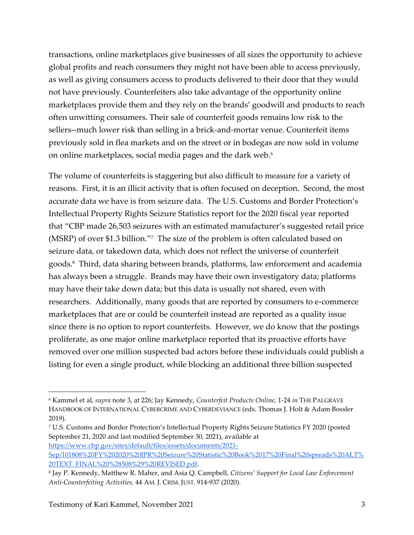transactions, online marketplaces give businesses of all sizes the opportunity to achieve global profits and reach consumers they might not have been able to access previously, as well as giving consumers access to products delivered to their door that they would not have previously. Counterfeiters also take advantage of the opportunity online marketplaces provide them and they rely on the brands' goodwill and products to reach often unwitting consumers. Their sale of counterfeit goods remains low risk to the sellers--much lower risk than selling in a brick-and-mortar venue. Counterfeit items previously sold in flea markets and on the street or in bodegas are now sold in volume on online marketplaces, social media pages and the dark web. $^6$ 

The volume of counterfeits is staggering but also difficult to measure for a variety of reasons. First, it is an illicit activity that is often focused on deception. Second, the most accurate data we have is from seizure data. The U.S. Customs and Border Protection's Intellectual Property Rights Seizure Statistics report for the 2020 fiscal year reported that "CBP made 26,503 seizures with an estimated manufacturer's suggested retail price (MSRP) of over \$1.3 billion."<sup>7</sup> The size of the problem is often calculated based on seizure data, or takedown data, which does not reflect the universe of counterfeit goods.<sup>8</sup> Third, data sharing between brands, platforms, law enforcement and academia has always been a struggle. Brands may have their own investigatory data; platforms may have their take down data; but this data is usually not shared, even with researchers. Additionally, many goods that are reported by consumers to e-commerce marketplaces that are or could be counterfeit instead are reported as a quality issue since there is no option to report counterfeits. However, we do know that the postings proliferate, as one major online marketplace reported that its proactive efforts have removed over one million suspected bad actors before these individuals could publish a listing for even a single product, while blocking an additional three billion suspected

<sup>6</sup> Kammel et al, *supra* note 3, at 226; Jay Kennedy, *Counterfeit Products Online,* 1-24 *in* THE PALGRAVE HANDBOOK OF INTERNATIONAL CYBERCRIME AND CYBERDEVIANCE (eds. Thomas J. Holt & Adam Bossler 2019).

<sup>7</sup> U.S. Customs and Border Protection's Intellectual Property Rights Seizure Statistics FY 2020 (posted September 21, 2020 and last modified September 30, 2021), available at

[https://www.cbp.gov/sites/default/files/assets/documents/2021-](https://www.cbp.gov/sites/default/files/assets/documents/2021-Sep/101808%20FY%202020%20IPR%20Seizure%20Statistic%20Book%2017%20Final%20spreads%20ALT%20TEXT_FINAL%20%28508%29%20REVISED.pdf) [Sep/101808%20FY%202020%20IPR%20Seizure%20Statistic%20Book%2017%20Final%20spreads%20ALT%](https://www.cbp.gov/sites/default/files/assets/documents/2021-Sep/101808%20FY%202020%20IPR%20Seizure%20Statistic%20Book%2017%20Final%20spreads%20ALT%20TEXT_FINAL%20%28508%29%20REVISED.pdf) [20TEXT\\_FINAL%20%28508%29%20REVISED.pdf.](https://www.cbp.gov/sites/default/files/assets/documents/2021-Sep/101808%20FY%202020%20IPR%20Seizure%20Statistic%20Book%2017%20Final%20spreads%20ALT%20TEXT_FINAL%20%28508%29%20REVISED.pdf)

<sup>8</sup> Jay P. Kennedy, Matthew R. Maher, and Asia Q. Campbell*, Citizens' Support for Local Law Enforcement Anti-Counterfeiting Activities,* 44 AM. J. CRIM. JUST. 914-937 (2020)*.*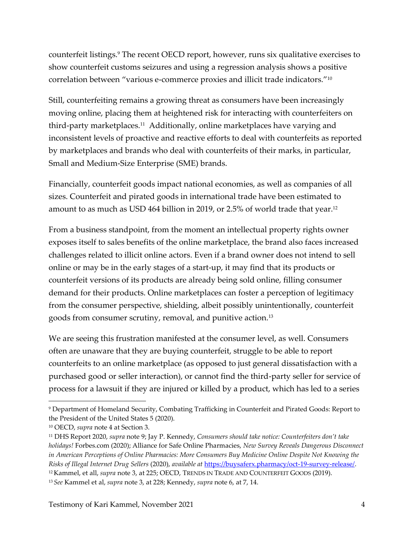counterfeit listings.<sup>9</sup> The recent OECD report, however, runs six qualitative exercises to show counterfeit customs seizures and using a regression analysis shows a positive correlation between "various e-commerce proxies and illicit trade indicators."<sup>10</sup>

Still, counterfeiting remains a growing threat as consumers have been increasingly moving online, placing them at heightened risk for interacting with counterfeiters on third-party marketplaces.<sup>11</sup> Additionally, online marketplaces have varying and inconsistent levels of proactive and reactive efforts to deal with counterfeits as reported by marketplaces and brands who deal with counterfeits of their marks, in particular, Small and Medium-Size Enterprise (SME) brands.

Financially, counterfeit goods impact national economies, as well as companies of all sizes. Counterfeit and pirated goods in international trade have been estimated to amount to as much as USD 464 billion in 2019, or 2.5% of world trade that year. 12

From a business standpoint, from the moment an intellectual property rights owner exposes itself to sales benefits of the online marketplace, the brand also faces increased challenges related to illicit online actors. Even if a brand owner does not intend to sell online or may be in the early stages of a start-up, it may find that its products or counterfeit versions of its products are already being sold online, filling consumer demand for their products. Online marketplaces can foster a perception of legitimacy from the consumer perspective, shielding, albeit possibly unintentionally, counterfeit goods from consumer scrutiny, removal, and punitive action.<sup>13</sup>

We are seeing this frustration manifested at the consumer level, as well. Consumers often are unaware that they are buying counterfeit, struggle to be able to report counterfeits to an online marketplace (as opposed to just general dissatisfaction with a purchased good or seller interaction), or cannot find the third-party seller for service of process for a lawsuit if they are injured or killed by a product, which has led to a series

<sup>9</sup> Department of Homeland Security, Combating Trafficking in Counterfeit and Pirated Goods: Report to the President of the United States 5 (2020).

<sup>10</sup> OECD, *supra* note 4 at Section 3.

<sup>11</sup> DHS Report 2020, *supra* note 9; Jay P. Kennedy, *Consumers should take notice: Counterfeiters don't take holidays!* Forbes.com (2020); Alliance for Safe Online Pharmacies, *New Survey Reveals Dangerous Disconnect in American Perceptions of Online Pharmacies: More Consumers Buy Medicine Online Despite Not Knowing the Risks of Illegal Internet Drug Sellers* (2020), *available at* [https://buysaferx.pharmacy/oct-19-survey-release/.](https://buysaferx.pharmacy/oct-19-survey-release/) <sup>12</sup> Kammel, et all, *supra* note 3, at 225; OECD, TRENDS IN TRADE AND COUNTERFEIT GOODS (2019).

<sup>13</sup> *See* Kammel et al, *supra* note 3, at 228; Kennedy, *supra* note 6, at 7, 14.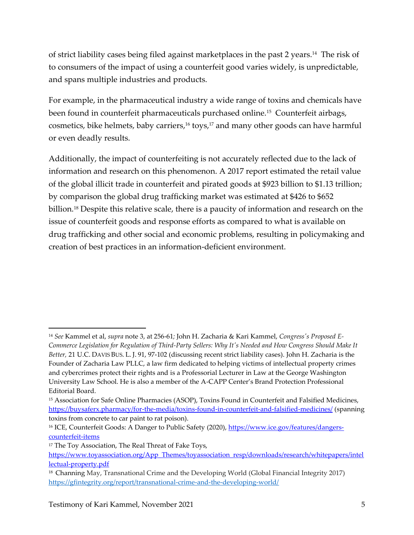of strict liability cases being filed against marketplaces in the past 2 years.<sup>14</sup> The risk of to consumers of the impact of using a counterfeit good varies widely, is unpredictable, and spans multiple industries and products.

For example, in the pharmaceutical industry a wide range of toxins and chemicals have been found in counterfeit pharmaceuticals purchased online.<sup>15</sup> Counterfeit airbags, cosmetics, bike helmets, baby carriers, <sup>16</sup> toys,<sup>17</sup> and many other goods can have harmful or even deadly results.

Additionally, the impact of counterfeiting is not accurately reflected due to the lack of information and research on this phenomenon. A 2017 report estimated the retail value of the global illicit trade in counterfeit and pirated goods at \$923 billion to \$1.13 trillion; by comparison the global drug trafficking market was estimated at \$426 to \$652 billion.<sup>18</sup> Despite this relative scale, there is a paucity of information and research on the issue of counterfeit goods and response efforts as compared to what is available on drug trafficking and other social and economic problems, resulting in policymaking and creation of best practices in an information-deficient environment.

<sup>14</sup> *See* Kammel et al, *supra* note 3, at 256-61*;* John H. Zacharia & Kari Kammel, *Congress's Proposed E-Commerce Legislation for Regulation of Third-Party Sellers: Why It's Needed and How Congress Should Make It Better,* 21 U.C. DAVIS BUS. L. J. 91, 97-102 (discussing recent strict liability cases). John H. Zacharia is the Founder of Zacharia Law PLLC, a law firm dedicated to helping victims of intellectual property crimes and cybercrimes protect their rights and is a Professorial Lecturer in Law at the George Washington University Law School. He is also a member of the A-CAPP Center's Brand Protection Professional Editorial Board.

<sup>15</sup> Association for Safe Online Pharmacies (ASOP), Toxins Found in Counterfeit and Falsified Medicines, <https://buysaferx.pharmacy/for-the-media/toxins-found-in-counterfeit-and-falsified-medicines/> (spanning toxins from concrete to car paint to rat poison).

<sup>&</sup>lt;sup>16</sup> ICE, Counterfeit Goods: A Danger to Public Safety (2020)[, https://www.ice.gov/features/dangers](https://www.ice.gov/features/dangers-counterfeit-items)[counterfeit-items](https://www.ice.gov/features/dangers-counterfeit-items)

<sup>&</sup>lt;sup>17</sup> The Toy Association, The Real Threat of Fake Toys,

[https://www.toyassociation.org/App\\_Themes/toyassociation\\_resp/downloads/research/whitepapers/intel](https://www.toyassociation.org/App_Themes/toyassociation_resp/downloads/research/whitepapers/intellectual-property.pdf) [lectual-property.pdf](https://www.toyassociation.org/App_Themes/toyassociation_resp/downloads/research/whitepapers/intellectual-property.pdf)

<sup>&</sup>lt;sup>18</sup> Channing May, Transnational Crime and the Developing World (Global Financial Integrity 2017) <https://gfintegrity.org/report/transnational-crime-and-the-developing-world/>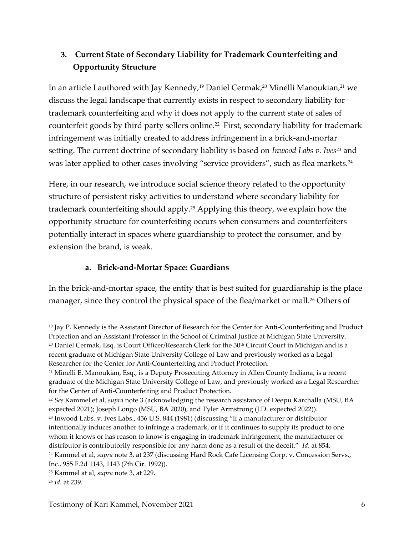# **3. Current State of Secondary Liability for Trademark Counterfeiting and Opportunity Structure**

In an article I authored with Jay Kennedy,<sup>19</sup> Daniel Cermak,<sup>20</sup> Minelli Manoukian,<sup>21</sup> we discuss the legal landscape that currently exists in respect to secondary liability for trademark counterfeiting and why it does not apply to the current state of sales of counterfeit goods by third party sellers online.<sup>22</sup> First, secondary liability for trademark infringement was initially created to address infringement in a brick-and-mortar setting. The current doctrine of secondary liability is based on *Inwood Labs v. Ives<sup>23</sup>* and was later applied to other cases involving "service providers", such as flea markets.<sup>24</sup>

Here, in our research, we introduce social science theory related to the opportunity structure of persistent risky activities to understand where secondary liability for trademark counterfeiting should apply.<sup>25</sup> Applying this theory, we explain how the opportunity structure for counterfeiting occurs when consumers and counterfeiters potentially interact in spaces where guardianship to protect the consumer, and by extension the brand, is weak.

# **a. Brick-and-Mortar Space: Guardians**

In the brick-and-mortar space, the entity that is best suited for guardianship is the place manager, since they control the physical space of the flea/market or mall.<sup>26</sup> Others of

<sup>19</sup> Jay P. Kennedy is the Assistant Director of Research for the Center for Anti-Counterfeiting and Product Protection and an Assistant Professor in the School of Criminal Justice at Michigan State University. <sup>20</sup> Daniel Cermak, Esq. is Court Officer/Research Clerk for the 30th Circuit Court in Michigan and is a recent graduate of Michigan State University College of Law and previously worked as a Legal Researcher for the Center for Anti-Counterfeiting and Product Protection.

<sup>&</sup>lt;sup>21</sup> Minelli E. Manoukian, Esq., is a Deputy Prosecuting Attorney in Allen County Indiana, is a recent graduate of the Michigan State University College of Law, and previously worked as a Legal Researcher for the Center of Anti-Counterfeiting and Product Protection.

<sup>22</sup> *See* Kammel et al, *supra* note 3 (acknowledging the research assistance of Deepu Karchalla (MSU, BA expected 2021); Joseph Longo (MSU, BA 2020), and Tyler Armstrong (J.D. expected 2022)).

<sup>23</sup> Inwood Labs. v. Ives Labs., 456 U.S. 844 (1981) (discussing "if a manufacturer or distributor intentionally induces another to infringe a trademark, or if it continues to supply its product to one whom it knows or has reason to know is engaging in trademark infringement, the manufacturer or distributor is contributorily responsible for any harm done as a result of the deceit." *Id.* at 854. <sup>24</sup> Kammel et al, *supra* note 3, at 237 (discussing Hard Rock Cafe Licensing Corp. v. Concession Servs.,

Inc., 955 F.2d 1143, 1143 (7th Cir. 1992)).

<sup>25</sup> Kammel at al, *supra* note 3, at 229.

<sup>26</sup> *Id.* at 239.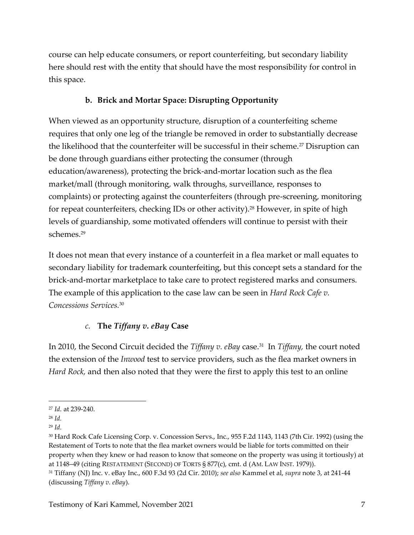course can help educate consumers, or report counterfeiting, but secondary liability here should rest with the entity that should have the most responsibility for control in this space.

# **b. Brick and Mortar Space: Disrupting Opportunity**

When viewed as an opportunity structure, disruption of a counterfeiting scheme requires that only one leg of the triangle be removed in order to substantially decrease the likelihood that the counterfeiter will be successful in their scheme.<sup>27</sup> Disruption can be done through guardians either protecting the consumer (through education/awareness), protecting the brick-and-mortar location such as the flea market/mall (through monitoring, walk throughs, surveillance, responses to complaints) or protecting against the counterfeiters (through pre-screening, monitoring for repeat counterfeiters, checking IDs or other activity).<sup>28</sup> However, in spite of high levels of guardianship, some motivated offenders will continue to persist with their schemes.<sup>29</sup>

It does not mean that every instance of a counterfeit in a flea market or mall equates to secondary liability for trademark counterfeiting, but this concept sets a standard for the brick-and-mortar marketplace to take care to protect registered marks and consumers. The example of this application to the case law can be seen in *Hard Rock Cafe v. Concessions Services.*<sup>30</sup>

# *c.* **The** *Tiffany v. eBay* **Case**

In 2010, the Second Circuit decided the *Tiffany v. eBay* case.<sup>31</sup> In *Tiffany,* the court noted the extension of the *Inwood* test to service providers, such as the flea market owners in *Hard Rock,* and then also noted that they were the first to apply this test to an online

<sup>27</sup> *Id.* at 239-240.

<sup>28</sup> *Id.* 

<sup>29</sup> *Id.* 

<sup>30</sup> Hard Rock Cafe Licensing Corp. v. Concession Servs., Inc., 955 F.2d 1143, 1143 (7th Cir. 1992) (using the Restatement of Torts to note that the flea market owners would be liable for torts committed on their property when they knew or had reason to know that someone on the property was using it tortiously) at at 1148–49 (citing RESTATEMENT (SECOND) OF TORTS § 877(c), cmt. d (AM. LAW INST. 1979)).

<sup>31</sup> Tiffany (NJ) Inc. v. eBay Inc., 600 F.3d 93 (2d Cir. 2010); *see also* Kammel et al, *supra* note 3, at 241-44 (discussing *Tiffany v. eBay*).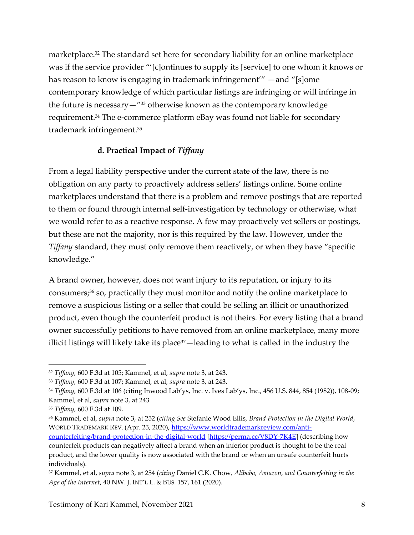marketplace.<sup>32</sup> The standard set here for secondary liability for an online marketplace was if the service provider "'[c]ontinues to supply its [service] to one whom it knows or has reason to know is engaging in trademark infringement'" —and "[s]ome contemporary knowledge of which particular listings are infringing or will infringe in the future is necessary—" <sup>33</sup> otherwise known as the contemporary knowledge requirement.<sup>34</sup> The e-commerce platform eBay was found not liable for secondary trademark infringement.<sup>35</sup>

#### **d. Practical Impact of** *Tiffany*

From a legal liability perspective under the current state of the law, there is no obligation on any party to proactively address sellers' listings online. Some online marketplaces understand that there is a problem and remove postings that are reported to them or found through internal self-investigation by technology or otherwise, what we would refer to as a reactive response. A few may proactively vet sellers or postings, but these are not the majority, nor is this required by the law. However, under the *Tiffany* standard, they must only remove them reactively, or when they have "specific knowledge."

A brand owner, however, does not want injury to its reputation, or injury to its consumers;<sup>36</sup> so, practically they must monitor and notify the online marketplace to remove a suspicious listing or a seller that could be selling an illicit or unauthorized product, even though the counterfeit product is not theirs. For every listing that a brand owner successfully petitions to have removed from an online marketplace, many more illicit listings will likely take its place<sup>37</sup>—leading to what is called in the industry the

<sup>32</sup> *Tiffany,* 600 F.3d at 105; Kammel, et al, *supra* note 3, at 243.

<sup>33</sup> *Tiffany,* 600 F.3d at 107; Kammel, et al, *supra* note 3, at 243.

<sup>34</sup> *Tiffany,* 600 F.3d at 106 (citing Inwood Lab'ys, Inc. v. Ives Lab'ys, Inc., 456 U.S. 844, 854 (1982)), 108-09; Kammel, et al, *supra* note 3, at 243

<sup>35</sup> *Tiffany,* 600 F.3d at 109.

<sup>36</sup> Kammel, et al, *supra* note 3, at 252 (*citing See* Stefanie Wood Ellis, *Brand Protection in the Digital World*, WORLD TRADEMARK REV. (Apr. 23, 2020)[, https://www.worldtrademarkreview.com/anti](https://www.worldtrademarkreview.com/anti-counterfeiting/brand-protection-in-the-digital-world)[counterfeiting/brand-protection-in-the-digital-world](https://www.worldtrademarkreview.com/anti-counterfeiting/brand-protection-in-the-digital-world) [\[https://perma.cc/V8DY-7K4E\]](https://perma.cc/V8DY-7K4E) (describing how

counterfeit products can negatively affect a brand when an inferior product is thought to be the real product, and the lower quality is now associated with the brand or when an unsafe counterfeit hurts individuals).

<sup>37</sup> Kammel, et al, *supra* note 3, at 254 (*citing* Daniel C.K. Chow*, Alibaba, Amazon, and Counterfeiting in the Age of the Internet*, 40 NW. J. INT'L L. & BUS. 157, 161 (2020).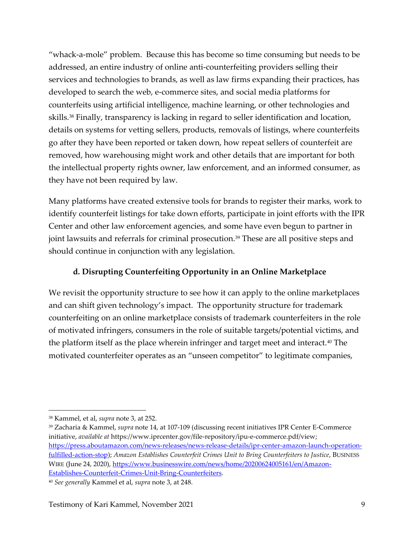"whack-a-mole" problem. Because this has become so time consuming but needs to be addressed, an entire industry of online anti-counterfeiting providers selling their services and technologies to brands, as well as law firms expanding their practices, has developed to search the web, e-commerce sites, and social media platforms for counterfeits using artificial intelligence, machine learning, or other technologies and skills.<sup>38</sup> Finally, transparency is lacking in regard to seller identification and location, details on systems for vetting sellers, products, removals of listings, where counterfeits go after they have been reported or taken down, how repeat sellers of counterfeit are removed, how warehousing might work and other details that are important for both the intellectual property rights owner, law enforcement, and an informed consumer, as they have not been required by law.

Many platforms have created extensive tools for brands to register their marks, work to identify counterfeit listings for take down efforts, participate in joint efforts with the IPR Center and other law enforcement agencies, and some have even begun to partner in joint lawsuits and referrals for criminal prosecution.<sup>39</sup> These are all positive steps and should continue in conjunction with any legislation.

## **d. Disrupting Counterfeiting Opportunity in an Online Marketplace**

We revisit the opportunity structure to see how it can apply to the online marketplaces and can shift given technology's impact. The opportunity structure for trademark counterfeiting on an online marketplace consists of trademark counterfeiters in the role of motivated infringers, consumers in the role of suitable targets/potential victims, and the platform itself as the place wherein infringer and target meet and interact.<sup>40</sup> The motivated counterfeiter operates as an "unseen competitor" to legitimate companies,

<sup>38</sup> Kammel, et al, *supra* note 3, at 252.

<sup>39</sup> Zacharia & Kammel, *supra* note 14, at 107-109 (discussing recent initiatives IPR Center E-Commerce initiative, *available at* [https://www.iprcenter.gov/file-repository/ipu-e-commerce.pdf/view;](https://www.iprcenter.gov/file-repository/ipu-e-commerce.pdf/view) [https://press.aboutamazon.com/news-releases/news-release-details/ipr-center-amazon-launch-operation](https://press.aboutamazon.com/news-releases/news-release-details/ipr-center-amazon-launch-operation-fulfilled-action-stop)[fulfilled-action-stop\)](https://press.aboutamazon.com/news-releases/news-release-details/ipr-center-amazon-launch-operation-fulfilled-action-stop); *Amazon Establishes Counterfeit Crimes Unit to Bring Counterfeiters to Justice*, BUSINESS WIRE (June 24, 2020), https://www.businesswire.com/news/home/20200624005161/en/Amazon-Establishes-Counterfeit-Crimes-Unit-Bring-Counterfeiters.

<sup>40</sup> *See generally* Kammel et al, *supra* note 3, at 248.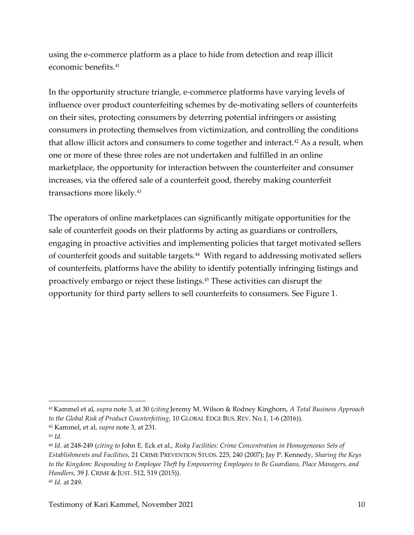using the e-commerce platform as a place to hide from detection and reap illicit economic benefits.<sup>41</sup>

In the opportunity structure triangle, e-commerce platforms have varying levels of influence over product counterfeiting schemes by de-motivating sellers of counterfeits on their sites, protecting consumers by deterring potential infringers or assisting consumers in protecting themselves from victimization, and controlling the conditions that allow illicit actors and consumers to come together and interact.<sup>42</sup> As a result, when one or more of these three roles are not undertaken and fulfilled in an online marketplace, the opportunity for interaction between the counterfeiter and consumer increases, via the offered sale of a counterfeit good, thereby making counterfeit transactions more likely.<sup>43</sup>

The operators of online marketplaces can significantly mitigate opportunities for the sale of counterfeit goods on their platforms by acting as guardians or controllers, engaging in proactive activities and implementing policies that target motivated sellers of counterfeit goods and suitable targets.<sup>44</sup> With regard to addressing motivated sellers of counterfeits, platforms have the ability to identify potentially infringing listings and proactively embargo or reject these listings.<sup>45</sup> These activities can disrupt the opportunity for third party sellers to sell counterfeits to consumers. See Figure 1.

<sup>41</sup> Kammel et al, *supra* note 3, at 30 (*citing* Jeremy M. Wilson & Rodney Kinghorn, *A Total Business Approach to the Global Risk of Product Counterfeiting*, 10 GLOBAL EDGE BUS. REV. No.1, 1-6 (2016)).

<sup>42</sup> Kammel, et al, *supra* note 3, at 231.

<sup>43</sup> *Id.* 

<sup>44</sup> *Id.* at 248-249 (*citing to* John E. Eck et al., *Risky Facilities: Crime Concentration in Homogeneous Sets of Establishments and Facilities*, 21 CRIME PREVENTION STUDS. 225, 240 (2007); Jay P. Kennedy, *Sharing the Keys to the Kingdom: Responding to Employee Theft by Empowering Employees to Be Guardians, Place Managers, and Handlers*, 39 J. CRIME & JUST. 512, 519 (2015)). <sup>45</sup> *Id.* at 249.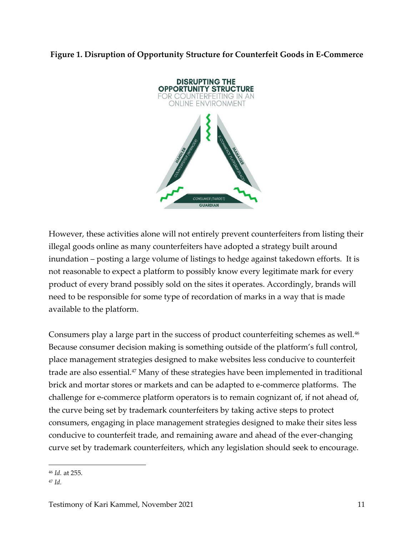#### **Figure 1. Disruption of Opportunity Structure for Counterfeit Goods in E-Commerce**



However, these activities alone will not entirely prevent counterfeiters from listing their illegal goods online as many counterfeiters have adopted a strategy built around inundation – posting a large volume of listings to hedge against takedown efforts. It is not reasonable to expect a platform to possibly know every legitimate mark for every product of every brand possibly sold on the sites it operates. Accordingly, brands will need to be responsible for some type of recordation of marks in a way that is made available to the platform.

Consumers play a large part in the success of product counterfeiting schemes as well.<sup>46</sup> Because consumer decision making is something outside of the platform's full control, place management strategies designed to make websites less conducive to counterfeit trade are also essential.<sup>47</sup> Many of these strategies have been implemented in traditional brick and mortar stores or markets and can be adapted to e-commerce platforms. The challenge for e-commerce platform operators is to remain cognizant of, if not ahead of, the curve being set by trademark counterfeiters by taking active steps to protect consumers, engaging in place management strategies designed to make their sites less conducive to counterfeit trade, and remaining aware and ahead of the ever-changing curve set by trademark counterfeiters, which any legislation should seek to encourage.

<sup>46</sup> *Id.* at 255.

<sup>47</sup> *Id.*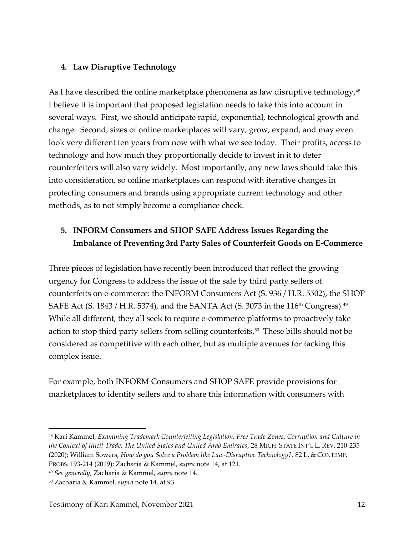### **4. Law Disruptive Technology**

As I have described the online marketplace phenomena as law disruptive technology,<sup>48</sup> I believe it is important that proposed legislation needs to take this into account in several ways. First, we should anticipate rapid, exponential, technological growth and change. Second, sizes of online marketplaces will vary, grow, expand, and may even look very different ten years from now with what we see today. Their profits, access to technology and how much they proportionally decide to invest in it to deter counterfeiters will also vary widely. Most importantly, any new laws should take this into consideration, so online marketplaces can respond with iterative changes in protecting consumers and brands using appropriate current technology and other methods, as to not simply become a compliance check.

# **5. INFORM Consumers and SHOP SAFE Address Issues Regarding the Imbalance of Preventing 3rd Party Sales of Counterfeit Goods on E-Commerce**

Three pieces of legislation have recently been introduced that reflect the growing urgency for Congress to address the issue of the sale by third party sellers of counterfeits on e-commerce: the INFORM Consumers Act (S. 936 / H.R. 5502), the SHOP SAFE Act (S. 1843 / H.R. 5374), and the SANTA Act (S. 3073 in the 116<sup>th</sup> Congress).<sup>49</sup> While all different, they all seek to require e-commerce platforms to proactively take action to stop third party sellers from selling counterfeits.<sup>50</sup> These bills should not be considered as competitive with each other, but as multiple avenues for tacking this complex issue.

For example, both INFORM Consumers and SHOP SAFE provide provisions for marketplaces to identify sellers and to share this information with consumers with

<sup>48</sup> Kari Kammel, *Examining Trademark Counterfeiting Legislation, Free Trade Zones, Corruption and Culture in the Context of Illicit Trade: The United States and United Arab Emirates*, 28 MICH. STATE INT'L L. REV. 210-235 (2020); William Sowers, *How do you Solve a Problem like Law-Disruptive Technology?*, 82 L. & CONTEMP. PROBS. 193-214 (2019); Zacharia & Kammel, *supra* note 14, at 121.

<sup>49</sup> *See generally,* Zacharia & Kammel, *supra* note 14.

<sup>50</sup> Zacharia & Kammel, *supra* note 14, at 93.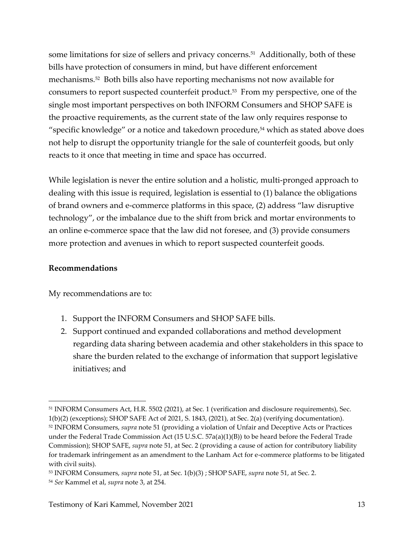some limitations for size of sellers and privacy concerns.<sup>51</sup> Additionally, both of these bills have protection of consumers in mind, but have different enforcement mechanisms.<sup>52</sup> Both bills also have reporting mechanisms not now available for consumers to report suspected counterfeit product.<sup>53</sup> From my perspective, one of the single most important perspectives on both INFORM Consumers and SHOP SAFE is the proactive requirements, as the current state of the law only requires response to "specific knowledge" or a notice and takedown procedure, $54$  which as stated above does not help to disrupt the opportunity triangle for the sale of counterfeit goods, but only reacts to it once that meeting in time and space has occurred.

While legislation is never the entire solution and a holistic, multi-pronged approach to dealing with this issue is required, legislation is essential to (1) balance the obligations of brand owners and e-commerce platforms in this space, (2) address "law disruptive technology", or the imbalance due to the shift from brick and mortar environments to an online e-commerce space that the law did not foresee, and (3) provide consumers more protection and avenues in which to report suspected counterfeit goods.

#### **Recommendations**

My recommendations are to:

- 1. Support the INFORM Consumers and SHOP SAFE bills.
- 2. Support continued and expanded collaborations and method development regarding data sharing between academia and other stakeholders in this space to share the burden related to the exchange of information that support legislative initiatives; and

<sup>51</sup> INFORM Consumers Act, H.R. 5502 (2021), at Sec. 1 (verification and disclosure requirements), Sec. 1(b)(2) (exceptions); SHOP SAFE Act of 2021, S. 1843, (2021), at Sec. 2(a) (verifying documentation). <sup>52</sup> INFORM Consumers, *supra* note 51 (providing a violation of Unfair and Deceptive Acts or Practices under the Federal Trade Commission Act (15 U.S.C. 57a(a)(1)(B)) to be heard before the Federal Trade Commission); SHOP SAFE, *supra* note 51, at Sec. 2 (providing a cause of action for contributory liability for trademark infringement as an amendment to the Lanham Act for e-commerce platforms to be litigated with civil suits).

<sup>53</sup> INFORM Consumers, *supra* note 51, at Sec. 1(b)(3) ; SHOP SAFE, *supra* note 51, at Sec. 2.

<sup>54</sup> *See* Kammel et al, *supra* note 3, at 254.